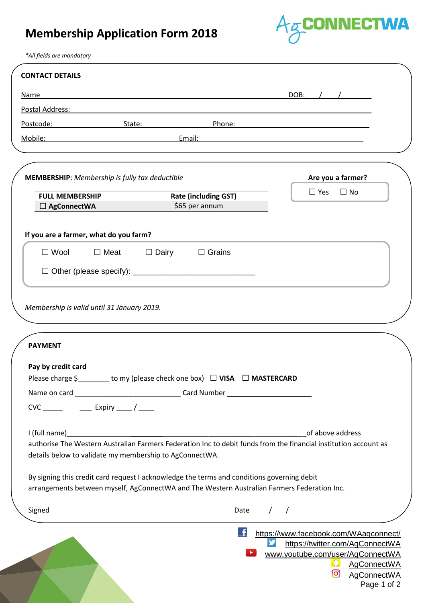## **Membership Application Form 2018**



*\*All fields are mandatory*

| <b>CONTACT DETAILS</b>                                                                                                                                                                                                                                                                                                                                                                                                      |              |                                               |                    |                  |                   |
|-----------------------------------------------------------------------------------------------------------------------------------------------------------------------------------------------------------------------------------------------------------------------------------------------------------------------------------------------------------------------------------------------------------------------------|--------------|-----------------------------------------------|--------------------|------------------|-------------------|
| Name                                                                                                                                                                                                                                                                                                                                                                                                                        |              |                                               |                    | DOB: $/$ /       |                   |
| Postal Address:                                                                                                                                                                                                                                                                                                                                                                                                             |              |                                               |                    |                  |                   |
| Postcode: New York Postcode:                                                                                                                                                                                                                                                                                                                                                                                                | State:       | Phone:                                        |                    |                  |                   |
| Mobile:<br><u> 1980 - Johann Barbara, martin a</u>                                                                                                                                                                                                                                                                                                                                                                          | Email:       |                                               |                    |                  |                   |
| <b>MEMBERSHIP:</b> Membership is fully tax deductible                                                                                                                                                                                                                                                                                                                                                                       |              |                                               |                    |                  | Are you a farmer? |
| <b>FULL MEMBERSHIP</b><br>$\Box$ AgConnectWA                                                                                                                                                                                                                                                                                                                                                                                |              | <b>Rate (including GST)</b><br>\$65 per annum |                    | $\Box$ Yes       | $\Box$ No         |
| If you are a farmer, what do you farm?                                                                                                                                                                                                                                                                                                                                                                                      |              |                                               |                    |                  |                   |
| $\Box$ Wool<br>$\Box$ Meat                                                                                                                                                                                                                                                                                                                                                                                                  | $\Box$ Dairy | $\Box$ Grains                                 |                    |                  |                   |
|                                                                                                                                                                                                                                                                                                                                                                                                                             |              |                                               |                    |                  |                   |
|                                                                                                                                                                                                                                                                                                                                                                                                                             |              |                                               |                    |                  |                   |
|                                                                                                                                                                                                                                                                                                                                                                                                                             |              |                                               |                    |                  |                   |
|                                                                                                                                                                                                                                                                                                                                                                                                                             |              |                                               |                    |                  |                   |
| Membership is valid until 31 January 2019.<br><b>PAYMENT</b><br>Pay by credit card<br>Please charge \$ _______ to my (please check one box) □ VISA □ MASTERCARD<br>CVC________________________ Expiry ______/ ______                                                                                                                                                                                                        |              |                                               |                    |                  |                   |
| authorise The Western Australian Farmers Federation Inc to debit funds from the financial institution account as<br>details below to validate my membership to AgConnectWA.                                                                                                                                                                                                                                                 |              |                                               |                    | of above address |                   |
|                                                                                                                                                                                                                                                                                                                                                                                                                             |              |                                               |                    |                  |                   |
| I (full name) https://www.assett.com/distributed/community/intervalsed by the community of the community of the community of the community of the community of the community of the community of the community of the communit<br>By signing this credit card request I acknowledge the terms and conditions governing debit<br>arrangements between myself, AgConnectWA and The Western Australian Farmers Federation Inc. |              |                                               | Date $\sqrt{2\pi}$ |                  |                   |